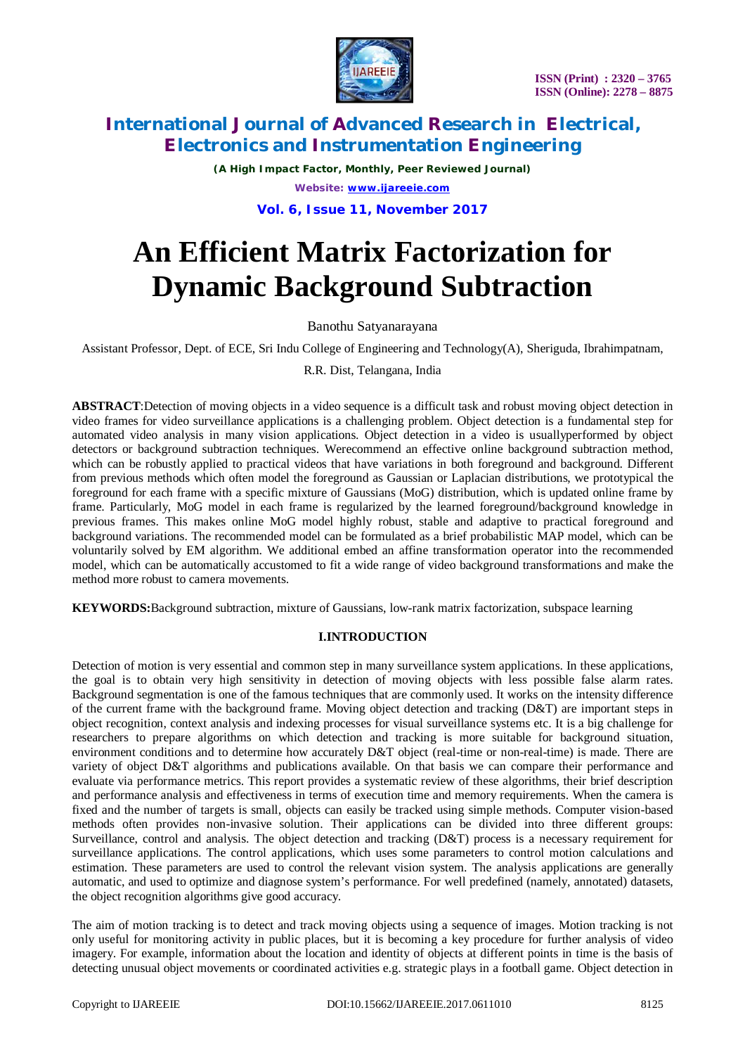

*(A High Impact Factor, Monthly, Peer Reviewed Journal) Website: [www.ijareeie.com](http://www.ijareeie.com)*

**Vol. 6, Issue 11, November 2017**

# **An Efficient Matrix Factorization for Dynamic Background Subtraction**

Banothu Satyanarayana

Assistant Professor, Dept. of ECE, Sri Indu College of Engineering and Technology(A), Sheriguda, Ibrahimpatnam,

R.R. Dist, Telangana, India

**ABSTRACT**:Detection of moving objects in a video sequence is a difficult task and robust moving object detection in video frames for video surveillance applications is a challenging problem. Object detection is a fundamental step for automated video analysis in many vision applications. Object detection in a video is usuallyperformed by object detectors or background subtraction techniques. Werecommend an effective online background subtraction method, which can be robustly applied to practical videos that have variations in both foreground and background. Different from previous methods which often model the foreground as Gaussian or Laplacian distributions, we prototypical the foreground for each frame with a specific mixture of Gaussians (MoG) distribution, which is updated online frame by frame. Particularly, MoG model in each frame is regularized by the learned foreground/background knowledge in previous frames. This makes online MoG model highly robust, stable and adaptive to practical foreground and background variations. The recommended model can be formulated as a brief probabilistic MAP model, which can be voluntarily solved by EM algorithm. We additional embed an affine transformation operator into the recommended model, which can be automatically accustomed to fit a wide range of video background transformations and make the method more robust to camera movements.

**KEYWORDS:**Background subtraction, mixture of Gaussians, low-rank matrix factorization, subspace learning

### **I.INTRODUCTION**

Detection of motion is very essential and common step in many surveillance system applications. In these applications, the goal is to obtain very high sensitivity in detection of moving objects with less possible false alarm rates. Background segmentation is one of the famous techniques that are commonly used. It works on the intensity difference of the current frame with the background frame. Moving object detection and tracking (D&T) are important steps in object recognition, context analysis and indexing processes for visual surveillance systems etc. It is a big challenge for researchers to prepare algorithms on which detection and tracking is more suitable for background situation, environment conditions and to determine how accurately D&T object (real-time or non-real-time) is made. There are variety of object D&T algorithms and publications available. On that basis we can compare their performance and evaluate via performance metrics. This report provides a systematic review of these algorithms, their brief description and performance analysis and effectiveness in terms of execution time and memory requirements. When the camera is fixed and the number of targets is small, objects can easily be tracked using simple methods. Computer vision-based methods often provides non-invasive solution. Their applications can be divided into three different groups: Surveillance, control and analysis. The object detection and tracking (D&T) process is a necessary requirement for surveillance applications. The control applications, which uses some parameters to control motion calculations and estimation. These parameters are used to control the relevant vision system. The analysis applications are generally automatic, and used to optimize and diagnose system's performance. For well predefined (namely, annotated) datasets, the object recognition algorithms give good accuracy.

The aim of motion tracking is to detect and track moving objects using a sequence of images. Motion tracking is not only useful for monitoring activity in public places, but it is becoming a key procedure for further analysis of video imagery. For example, information about the location and identity of objects at different points in time is the basis of detecting unusual object movements or coordinated activities e.g. strategic plays in a football game. Object detection in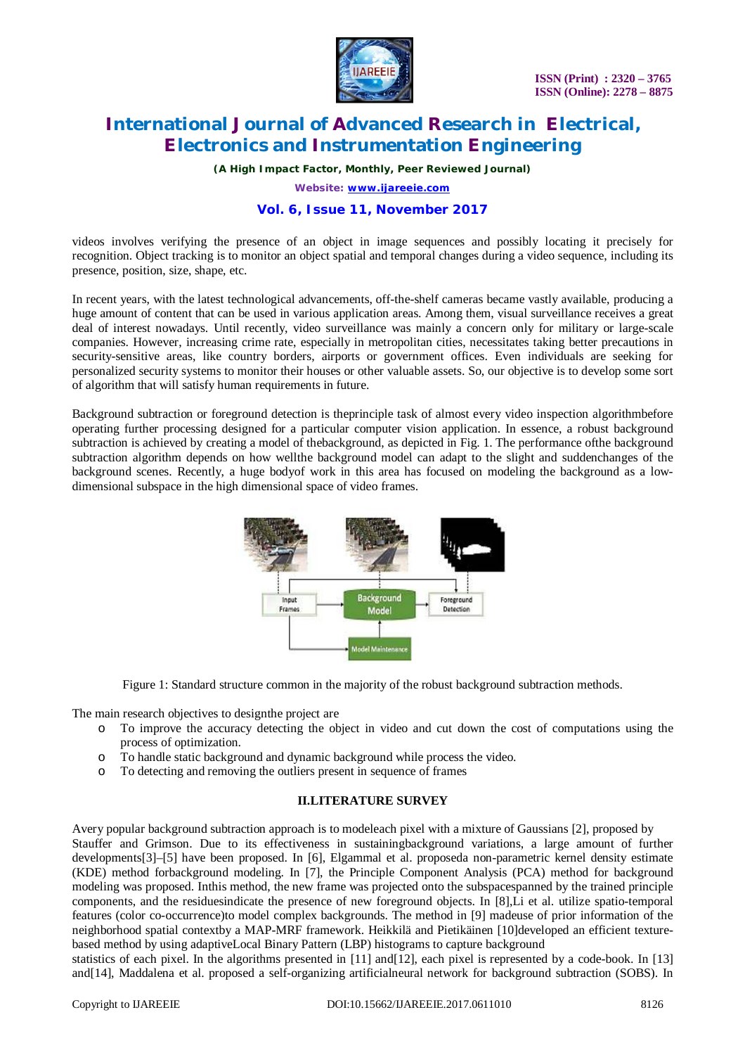

 **ISSN (Print) : 2320 – 3765 ISSN (Online): 2278 – 8875**

# **International Journal of Advanced Research in Electrical, Electronics and Instrumentation Engineering**

*(A High Impact Factor, Monthly, Peer Reviewed Journal)*

*Website: [www.ijareeie.com](http://www.ijareeie.com)*

### **Vol. 6, Issue 11, November 2017**

videos involves verifying the presence of an object in image sequences and possibly locating it precisely for recognition. Object tracking is to monitor an object spatial and temporal changes during a video sequence, including its presence, position, size, shape, etc.

In recent years, with the latest technological advancements, off-the-shelf cameras became vastly available, producing a huge amount of content that can be used in various application areas. Among them, visual surveillance receives a great deal of interest nowadays. Until recently, video surveillance was mainly a concern only for military or large-scale companies. However, increasing crime rate, especially in metropolitan cities, necessitates taking better precautions in security-sensitive areas, like country borders, airports or government offices. Even individuals are seeking for personalized security systems to monitor their houses or other valuable assets. So, our objective is to develop some sort of algorithm that will satisfy human requirements in future.

Background subtraction or foreground detection is theprinciple task of almost every video inspection algorithmbefore operating further processing designed for a particular computer vision application. In essence, a robust background subtraction is achieved by creating a model of thebackground, as depicted in Fig. 1. The performance ofthe background subtraction algorithm depends on how wellthe background model can adapt to the slight and suddenchanges of the background scenes. Recently, a huge bodyof work in this area has focused on modeling the background as a lowdimensional subspace in the high dimensional space of video frames.



Figure 1: Standard structure common in the majority of the robust background subtraction methods.

The main research objectives to designthe project are

- o To improve the accuracy detecting the object in video and cut down the cost of computations using the process of optimization.
- o To handle static background and dynamic background while process the video.
- o To detecting and removing the outliers present in sequence of frames

### **II.LITERATURE SURVEY**

Avery popular background subtraction approach is to modeleach pixel with a mixture of Gaussians [2], proposed by Stauffer and Grimson. Due to its effectiveness in sustainingbackground variations, a large amount of further developments[3]–[5] have been proposed. In [6], Elgammal et al. proposeda non-parametric kernel density estimate (KDE) method forbackground modeling. In [7], the Principle Component Analysis (PCA) method for background modeling was proposed. Inthis method, the new frame was projected onto the subspacespanned by the trained principle components, and the residuesindicate the presence of new foreground objects. In [8],Li et al. utilize spatio-temporal features (color co-occurrence)to model complex backgrounds. The method in [9] madeuse of prior information of the neighborhood spatial contextby a MAP-MRF framework. Heikkilä and Pietikäinen [10]developed an efficient texturebased method by using adaptiveLocal Binary Pattern (LBP) histograms to capture background

statistics of each pixel. In the algorithms presented in [11] and[12], each pixel is represented by a code-book. In [13] and[14], Maddalena et al. proposed a self-organizing artificialneural network for background subtraction (SOBS). In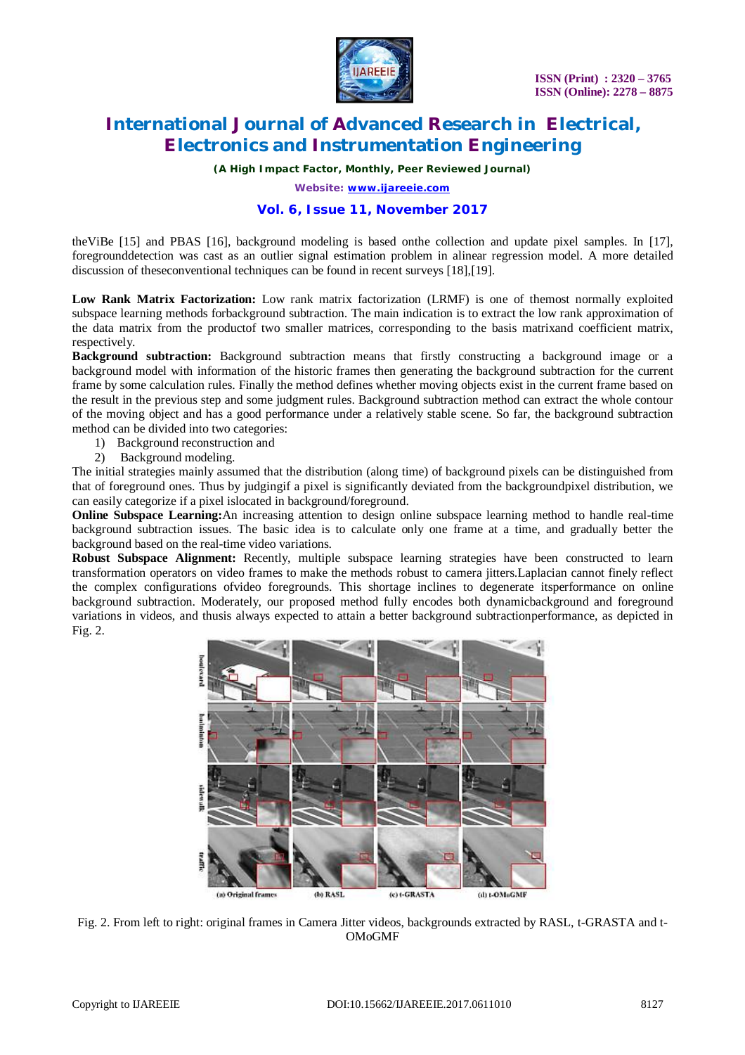

*(A High Impact Factor, Monthly, Peer Reviewed Journal)*

*Website: [www.ijareeie.com](http://www.ijareeie.com)*

## **Vol. 6, Issue 11, November 2017**

theViBe [15] and PBAS [16], background modeling is based onthe collection and update pixel samples. In [17], foregrounddetection was cast as an outlier signal estimation problem in alinear regression model. A more detailed discussion of theseconventional techniques can be found in recent surveys [18],[19].

**Low Rank Matrix Factorization:** Low rank matrix factorization (LRMF) is one of themost normally exploited subspace learning methods forbackground subtraction. The main indication is to extract the low rank approximation of the data matrix from the productof two smaller matrices, corresponding to the basis matrixand coefficient matrix, respectively.

**Background subtraction:** Background subtraction means that firstly constructing a background image or a background model with information of the historic frames then generating the background subtraction for the current frame by some calculation rules. Finally the method defines whether moving objects exist in the current frame based on the result in the previous step and some judgment rules. Background subtraction method can extract the whole contour of the moving object and has a good performance under a relatively stable scene. So far, the background subtraction method can be divided into two categories:

- 1) Background reconstruction and
- 2) Background modeling.

The initial strategies mainly assumed that the distribution (along time) of background pixels can be distinguished from that of foreground ones. Thus by judgingif a pixel is significantly deviated from the backgroundpixel distribution, we can easily categorize if a pixel islocated in background/foreground.

**Online Subspace Learning:**An increasing attention to design online subspace learning method to handle real-time background subtraction issues. The basic idea is to calculate only one frame at a time, and gradually better the background based on the real-time video variations.

**Robust Subspace Alignment:** Recently, multiple subspace learning strategies have been constructed to learn transformation operators on video frames to make the methods robust to camera jitters.Laplacian cannot finely reflect the complex configurations ofvideo foregrounds. This shortage inclines to degenerate itsperformance on online background subtraction. Moderately, our proposed method fully encodes both dynamicbackground and foreground variations in videos, and thusis always expected to attain a better background subtractionperformance, as depicted in Fig. 2.



Fig. 2. From left to right: original frames in Camera Jitter videos, backgrounds extracted by RASL, t-GRASTA and t-OMoGMF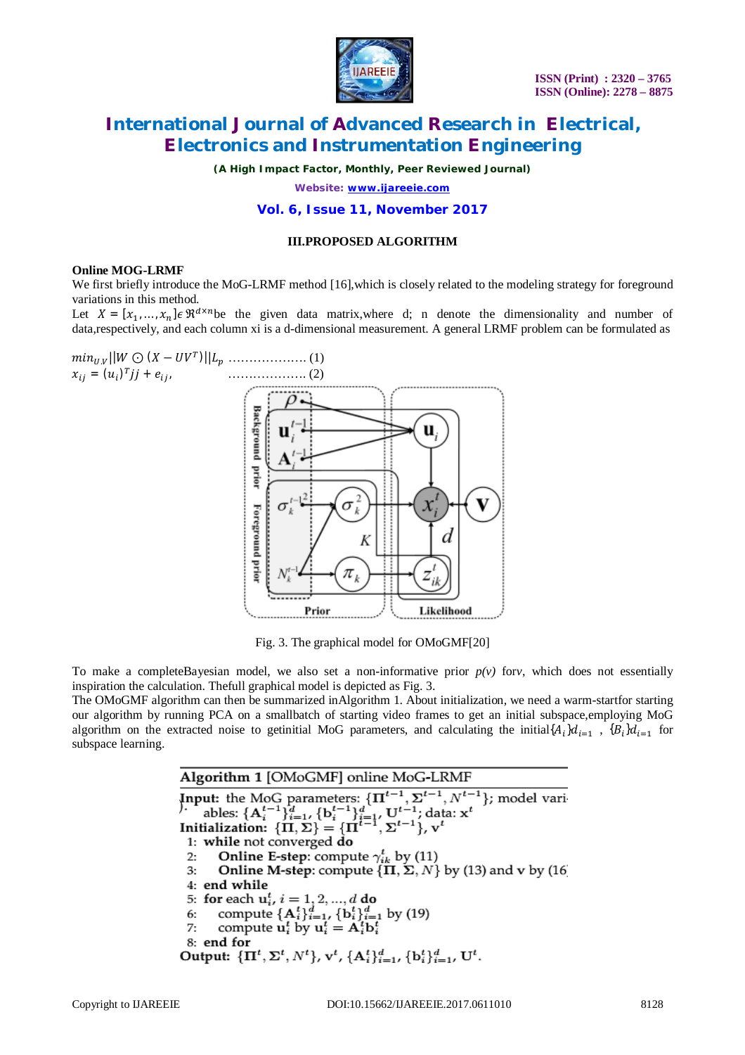

*(A High Impact Factor, Monthly, Peer Reviewed Journal)*

*Website: [www.ijareeie.com](http://www.ijareeie.com)*

### **Vol. 6, Issue 11, November 2017**

### **III.PROPOSED ALGORITHM**

#### **Online MOG-LRMF**

We first briefly introduce the MoG-LRMF method [16], which is closely related to the modeling strategy for foreground variations in this method.

Let  $X = [x_1, ..., x_n] \in \mathbb{R}^{d \times n}$  be the given data matrix, where d; n denote the dimensionality and number of data,respectively, and each column xi is a d-dimensional measurement. A general LRMF problem can be formulated as



Fig. 3. The graphical model for OMoGMF[20]

To make a completeBayesian model, we also set a non-informative prior  $p(y)$  for *v*, which does not essentially inspiration the calculation. Thefull graphical model is depicted as Fig. 3.

The OMoGMF algorithm can then be summarized inAlgorithm 1. About initialization, we need a warm-startfor starting our algorithm by running PCA on a smallbatch of starting video frames to get an initial subspace,employing MoG algorithm on the extracted noise to getinitial MoG parameters, and calculating the initial $\{A_i\}d_{i=1}$ ,  $\{B_i\}d_{i=1}$  for subspace learning.

> Algorithm 1 [OMoGMF] online MoG-LRMF Algorithm 1 [OWOGWE] Office WOG-EXWE<br>
> Input: the MoG parameters:  $\{\Pi^{t-1}, \Sigma^{t-1}, N^{t-1}\}$ ; model vari<br>
> bles:  $\{A_i^{t-1}\}_{i=1}^d$ ,  $\{b_i^{t-1}\}_{i=1}^d$ ,  $U^{t-1}$ ; data:  $x^t$ <br>
> Initialization:  $\{\Pi, \Sigma\} = \{\Pi^{t-1}, \Sigma^{t-1}\}$ ,  $v^t$ 1: while not converged do **Online E-step:** compute  $\gamma_{ik}^t$  by (11)<br>**Online M-step:** compute  $\{\Pi, \Sigma, N\}$  by (13) and v by (16)  $2:$  $3:$ 4: end while 5: for each  $u_i^t$ ,  $i = 1, 2, ..., d$  do<br>
> 6: compute  $\{A_i^t\}_{i=1}^d$ ,  $\{b_i^t\}_{i=1}^d$  by (19)<br>
> 7: compute  $u_i^t$  by  $u_i^t = A_i^t b_i^t$ 8: end for Output:  ${\{\Pi^t, \Sigma^t, N^t\}}$ ,  ${\bf v}^t$ ,  ${\{\mathbf{A}_i^t\}_{i=1}^d}$ ,  ${\{\mathbf{b}_i^t\}_{i=1}^d}$ ,  ${\bf U}^t$ .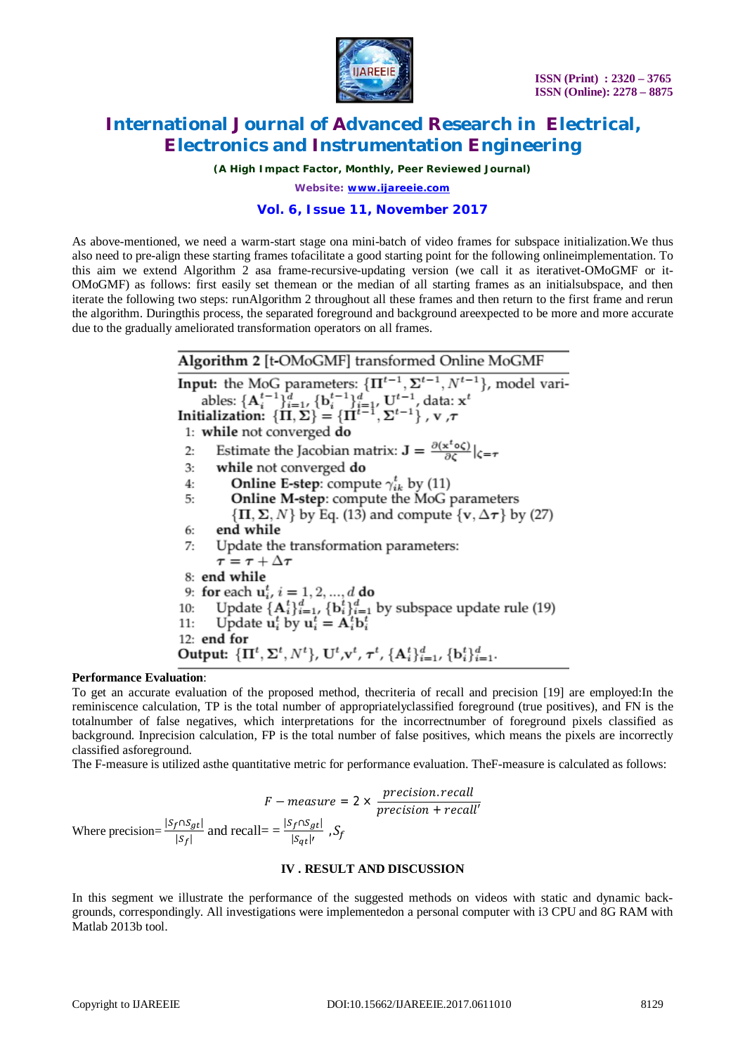

*(A High Impact Factor, Monthly, Peer Reviewed Journal)*

*Website: [www.ijareeie.com](http://www.ijareeie.com)*

# **Vol. 6, Issue 11, November 2017**

As above-mentioned, we need a warm-start stage ona mini-batch of video frames for subspace initialization.We thus also need to pre-align these starting frames tofacilitate a good starting point for the following onlineimplementation. To this aim we extend Algorithm 2 asa frame-recursive-updating version (we call it as iterativet-OMoGMF or it-OMoGMF) as follows: first easily set themean or the median of all starting frames as an initialsubspace, and then iterate the following two steps: runAlgorithm 2 throughout all these frames and then return to the first frame and rerun the algorithm. Duringthis process, the separated foreground and background areexpected to be more and more accurate due to the gradually ameliorated transformation operators on all frames.

| Algorithm 2 [t-OMoGMF] transformed Online MoGMF                                                                                                                      |
|----------------------------------------------------------------------------------------------------------------------------------------------------------------------|
| <b>Input:</b> the MoG parameters: $\{\Pi^{t-1}, \Sigma^{t-1}, N^{t-1}\}\$ , model vari-                                                                              |
|                                                                                                                                                                      |
| ables: $\{A_i^{t-1}\}_{i=1}^d$ , $\{b_i^{t-1}\}_{i=1}^d$ , $U^{t-1}$ , data: $x^t$<br>Initialization: $\{\Pi, \Sigma\} = \{\Pi^{t-1}, \Sigma^{t-1}\}$ , $v$ , $\tau$ |
| 1: while not converged do                                                                                                                                            |
| Estimate the Jacobian matrix: $\mathbf{J} = \frac{\partial(\mathbf{x}^t \circ \zeta)}{\partial \zeta} _{\zeta = \tau}$<br>2:                                         |
| while not converged do<br>3:                                                                                                                                         |
| <b>Online E-step:</b> compute $\gamma_{ik}^t$ by (11)<br>4:                                                                                                          |
| <b>Online M-step:</b> compute the MoG parameters<br>5:                                                                                                               |
| $\{\Pi, \Sigma, N\}$ by Eq. (13) and compute $\{v, \Delta \tau\}$ by (27)                                                                                            |
| end while<br>6:                                                                                                                                                      |
| 7: Update the transformation parameters:                                                                                                                             |
| $\tau=\tau+\Delta\tau$                                                                                                                                               |
| 8: end while                                                                                                                                                         |
| 9: for each $u_i^t$ , $i = 1, 2, , d$ do                                                                                                                             |
| Update $\{\mathbf{A}_i^t\}_{i=1}^d$ , $\{\mathbf{b}_i^t\}_{i=1}^d$ by subspace update rule (19)<br>10:                                                               |
| Update $\mathbf{u}_i^t$ by $\mathbf{u}_i^t = \mathbf{A}_i^t \mathbf{b}_i^t$<br>11:                                                                                   |
| $12:$ end for                                                                                                                                                        |
| Output: ${\{\Pi^t, \Sigma^t, N^t\}}$ , U <sup>t</sup> , v <sup>t</sup> , $\tau^t$ , ${\{\mathbf{A}_i^t\}}_{i=1}^d$ , ${\{\mathbf{b}_i^t\}}_{i=1}^d$ .                |

### **Performance Evaluation**:

To get an accurate evaluation of the proposed method, thecriteria of recall and precision [19] are employed:In the reminiscence calculation, TP is the total number of appropriatelyclassified foreground (true positives), and FN is the totalnumber of false negatives, which interpretations for the incorrectnumber of foreground pixels classified as background. Inprecision calculation, FP is the total number of false positives, which means the pixels are incorrectly classified asforeground.

The F-measure is utilized asthe quantitative metric for performance evaluation. TheF-measure is calculated as follows:

$$
F-measure = 2 \times \frac{precision \cdot recall}{precision + recall}
$$
  
Where precision =  $\frac{|S_f \cap S_{gt}|}{|S_f|}$  and recall =  $\frac{|S_f \cap S_{gt}|}{|S_{gt}|}$ ,  $S_f$ 

### **IV . RESULT AND DISCUSSION**

In this segment we illustrate the performance of the suggested methods on videos with static and dynamic backgrounds, correspondingly. All investigations were implementedon a personal computer with i3 CPU and 8G RAM with Matlab 2013b tool.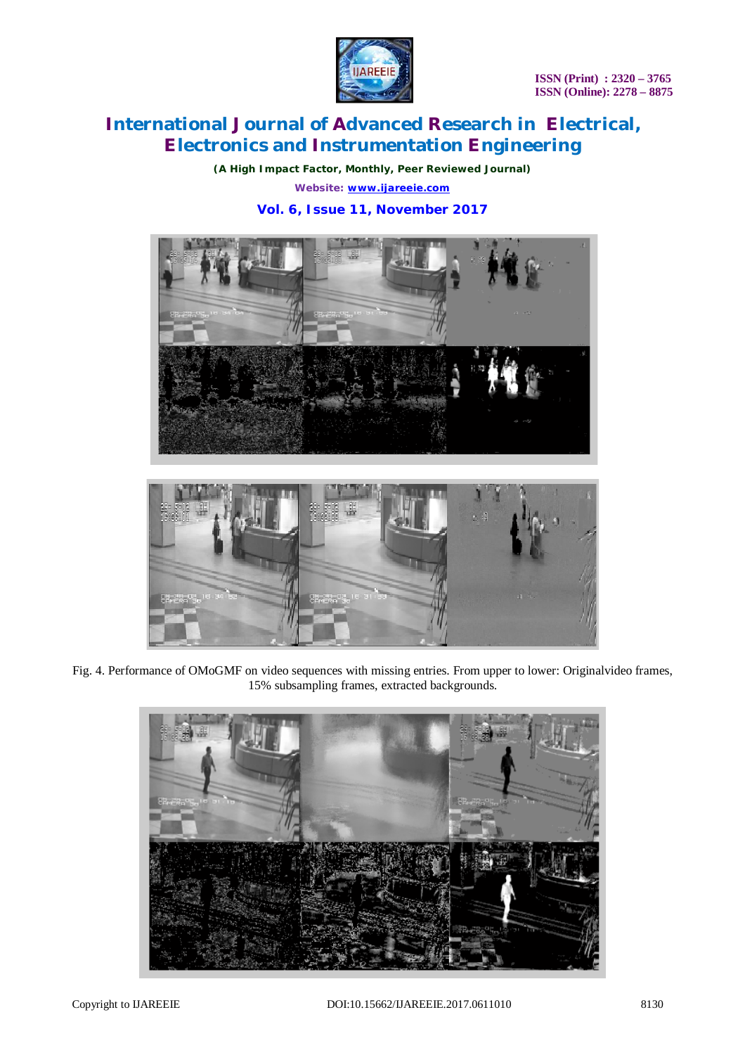

*(A High Impact Factor, Monthly, Peer Reviewed Journal) Website: [www.ijareeie.com](http://www.ijareeie.com)*

# **Vol. 6, Issue 11, November 2017**





Fig. 4. Performance of OMoGMF on video sequences with missing entries. From upper to lower: Originalvideo frames, 15% subsampling frames, extracted backgrounds.

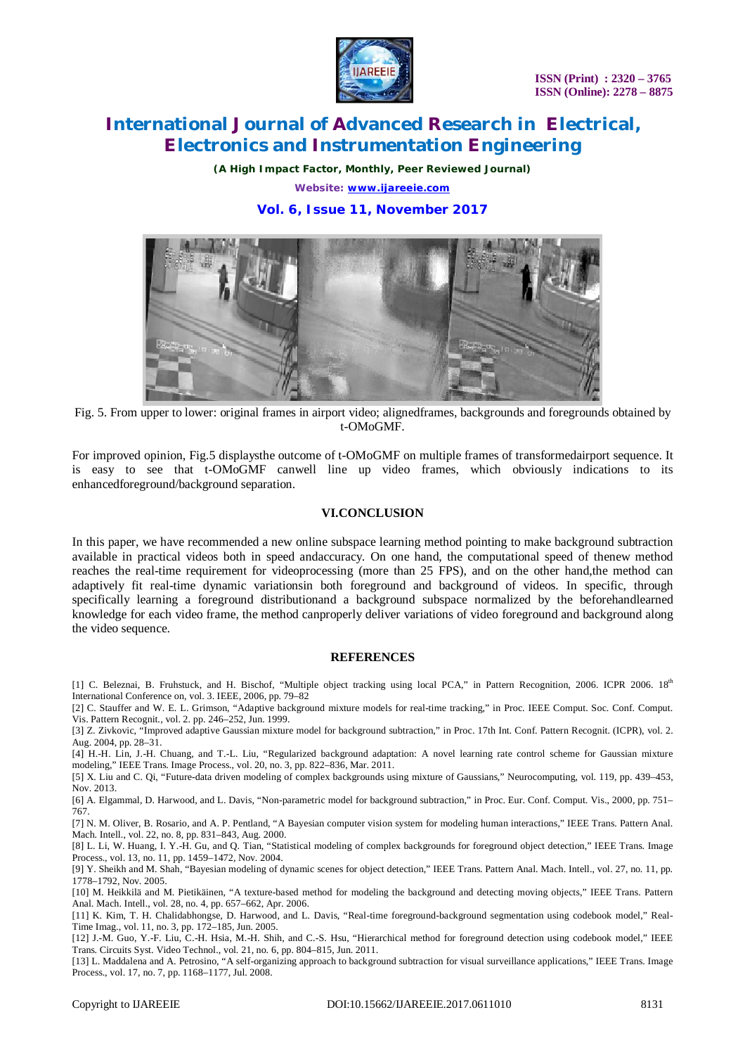

*(A High Impact Factor, Monthly, Peer Reviewed Journal) Website: [www.ijareeie.com](http://www.ijareeie.com)*

**Vol. 6, Issue 11, November 2017**



Fig. 5. From upper to lower: original frames in airport video; alignedframes, backgrounds and foregrounds obtained by t-OMoGMF.

For improved opinion, Fig.5 displaysthe outcome of t-OMoGMF on multiple frames of transformedairport sequence. It is easy to see that t-OMoGMF canwell line up video frames, which obviously indications to its enhancedforeground/background separation.

### **VI.CONCLUSION**

In this paper, we have recommended a new online subspace learning method pointing to make background subtraction available in practical videos both in speed andaccuracy. On one hand, the computational speed of thenew method reaches the real-time requirement for videoprocessing (more than 25 FPS), and on the other hand,the method can adaptively fit real-time dynamic variationsin both foreground and background of videos. In specific, through specifically learning a foreground distributionand a background subspace normalized by the beforehandlearned knowledge for each video frame, the method canproperly deliver variations of video foreground and background along the video sequence.

#### **REFERENCES**

[1] C. Beleznai, B. Fruhstuck, and H. Bischof, "Multiple object tracking using local PCA," in Pattern Recognition, 2006. ICPR 2006. 18<sup>th</sup> International Conference on, vol. 3. IEEE, 2006, pp. 79–82

[2] C. Stauffer and W. E. L. Grimson, "Adaptive background mixture models for real-time tracking," in Proc. IEEE Comput. Soc. Conf. Comput. Vis. Pattern Recognit., vol. 2. pp. 246–252, Jun. 1999.

[3] Z. Zivkovic, "Improved adaptive Gaussian mixture model for background subtraction," in Proc. 17th Int. Conf. Pattern Recognit. (ICPR), vol. 2. Aug. 2004, pp. 28–31.

[4] H.-H. Lin, J.-H. Chuang, and T.-L. Liu, "Regularized background adaptation: A novel learning rate control scheme for Gaussian mixture modeling," IEEE Trans. Image Process., vol. 20, no. 3, pp. 822–836, Mar. 2011.

[5] X. Liu and C. Qi, "Future-data driven modeling of complex backgrounds using mixture of Gaussians," Neurocomputing, vol. 119, pp. 439–453, Nov. 2013.

[6] A. Elgammal, D. Harwood, and L. Davis, "Non-parametric model for background subtraction," in Proc. Eur. Conf. Comput. Vis., 2000, pp. 751– 767.

[7] N. M. Oliver, B. Rosario, and A. P. Pentland, "A Bayesian computer vision system for modeling human interactions," IEEE Trans. Pattern Anal. Mach. Intell., vol. 22, no. 8, pp. 831–843, Aug. 2000.

[8] L. Li, W. Huang, I. Y.-H. Gu, and Q. Tian, "Statistical modeling of complex backgrounds for foreground object detection," IEEE Trans. Image Process., vol. 13, no. 11, pp. 1459–1472, Nov. 2004.

[9] Y. Sheikh and M. Shah, "Bayesian modeling of dynamic scenes for object detection," IEEE Trans. Pattern Anal. Mach. Intell., vol. 27, no. 11, pp. 1778–1792, Nov. 2005.

[10] M. Heikkilä and M. Pietikäinen, "A texture-based method for modeling the background and detecting moving objects," IEEE Trans. Pattern Anal. Mach. Intell., vol. 28, no. 4, pp. 657–662, Apr. 2006.

[11] K. Kim, T. H. Chalidabhongse, D. Harwood, and L. Davis, "Real-time foreground-background segmentation using codebook model," Real-Time Imag., vol. 11, no. 3, pp. 172–185, Jun. 2005.

[12] J.-M. Guo, Y.-F. Liu, C.-H. Hsia, M.-H. Shih, and C.-S. Hsu, "Hierarchical method for foreground detection using codebook model," IEEE Trans. Circuits Syst. Video Technol., vol. 21, no. 6, pp. 804–815, Jun. 2011.

[13] L. Maddalena and A. Petrosino, "A self-organizing approach to background subtraction for visual surveillance applications," IEEE Trans. Image Process., vol. 17, no. 7, pp. 1168–1177, Jul. 2008.